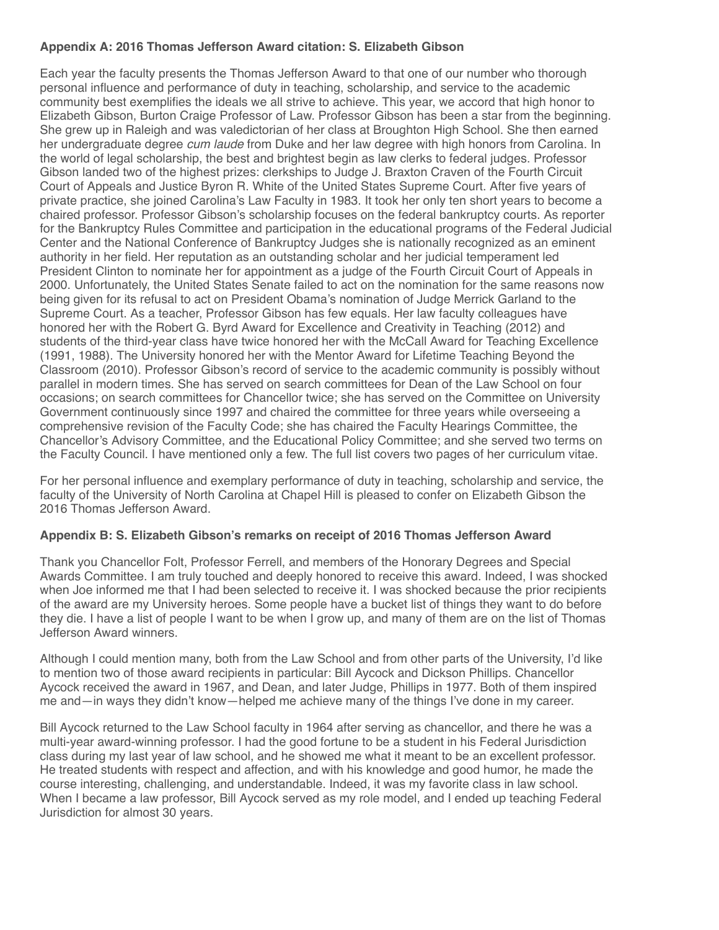## **Appendix A: 2016 Thomas Jefferson Award citation: S. Elizabeth Gibson**

Each year the faculty presents the Thomas Jefferson Award to that one of our number who thorough personal influence and performance of duty in teaching, scholarship, and service to the academic community best exemplifies the ideals we all strive to achieve. This year, we accord that high honor to Elizabeth Gibson, Burton Craige Professor of Law. Professor Gibson has been a star from the beginning. She grew up in Raleigh and was valedictorian of her class at Broughton High School. She then earned her undergraduate degree *cum laude* from Duke and her law degree with high honors from Carolina. In the world of legal scholarship, the best and brightest begin as law clerks to federal judges. Professor Gibson landed two of the highest prizes: clerkships to Judge J. Braxton Craven of the Fourth Circuit Court of Appeals and Justice Byron R. White of the United States Supreme Court. After five years of private practice, she joined Carolina's Law Faculty in 1983. It took her only ten short years to become a chaired professor. Professor Gibson's scholarship focuses on the federal bankruptcy courts. As reporter for the Bankruptcy Rules Committee and participation in the educational programs of the Federal Judicial Center and the National Conference of Bankruptcy Judges she is nationally recognized as an eminent authority in her field. Her reputation as an outstanding scholar and her judicial temperament led President Clinton to nominate her for appointment as a judge of the Fourth Circuit Court of Appeals in 2000. Unfortunately, the United States Senate failed to act on the nomination for the same reasons now being given for its refusal to act on President Obama's nomination of Judge Merrick Garland to the Supreme Court. As a teacher, Professor Gibson has few equals. Her law faculty colleagues have honored her with the Robert G. Byrd Award for Excellence and Creativity in Teaching (2012) and students of the third-year class have twice honored her with the McCall Award for Teaching Excellence (1991, 1988). The University honored her with the Mentor Award for Lifetime Teaching Beyond the Classroom (2010). Professor Gibson's record of service to the academic community is possibly without parallel in modern times. She has served on search committees for Dean of the Law School on four occasions; on search committees for Chancellor twice; she has served on the Committee on University Government continuously since 1997 and chaired the committee for three years while overseeing a comprehensive revision of the Faculty Code; she has chaired the Faculty Hearings Committee, the Chancellor's Advisory Committee, and the Educational Policy Committee; and she served two terms on the Faculty Council. I have mentioned only a few. The full list covers two pages of her curriculum vitae.

For her personal influence and exemplary performance of duty in teaching, scholarship and service, the faculty of the University of North Carolina at Chapel Hill is pleased to confer on Elizabeth Gibson the 2016 Thomas Jefferson Award.

## **Appendix B: S. Elizabeth Gibson's remarks on receipt of 2016 Thomas Jefferson Award**

Thank you Chancellor Folt, Professor Ferrell, and members of the Honorary Degrees and Special Awards Committee. I am truly touched and deeply honored to receive this award. Indeed, I was shocked when Joe informed me that I had been selected to receive it. I was shocked because the prior recipients of the award are my University heroes. Some people have a bucket list of things they want to do before they die. I have a list of people I want to be when I grow up, and many of them are on the list of Thomas Jefferson Award winners.

Although I could mention many, both from the Law School and from other parts of the University, I'd like to mention two of those award recipients in particular: Bill Aycock and Dickson Phillips. Chancellor Aycock received the award in 1967, and Dean, and later Judge, Phillips in 1977. Both of them inspired me and—in ways they didn't know—helped me achieve many of the things I've done in my career.

Bill Aycock returned to the Law School faculty in 1964 after serving as chancellor, and there he was a multi-year award-winning professor. I had the good fortune to be a student in his Federal Jurisdiction class during my last year of law school, and he showed me what it meant to be an excellent professor. He treated students with respect and affection, and with his knowledge and good humor, he made the course interesting, challenging, and understandable. Indeed, it was my favorite class in law school. When I became a law professor, Bill Aycock served as my role model, and I ended up teaching Federal Jurisdiction for almost 30 years.